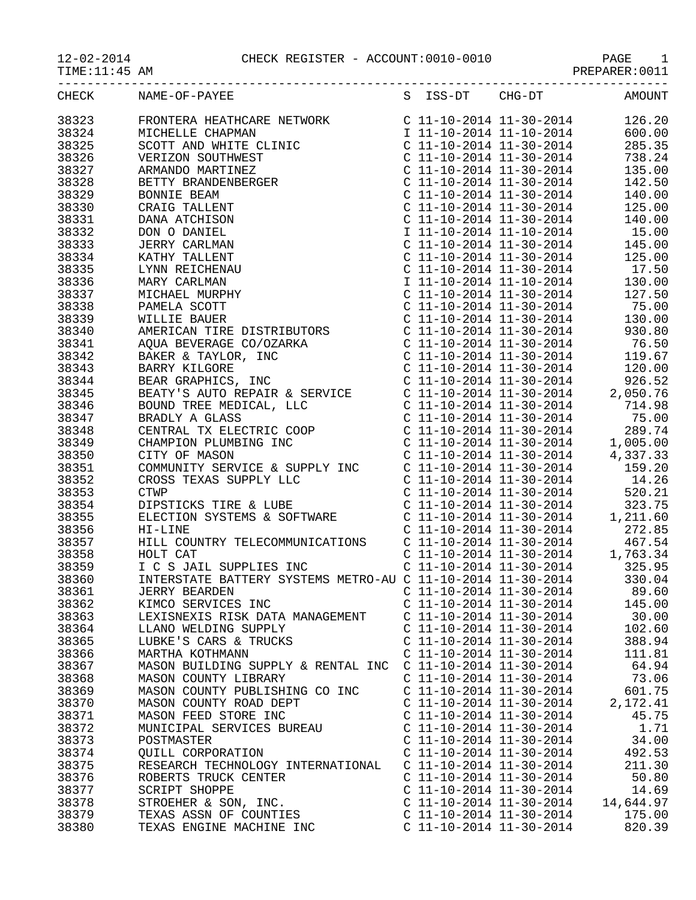12-02-2014 CHECK REGISTER - ACCOUNT:0010-0010 PAGE 1<br>TIME:11:45 AM PREPARER:0011

| -02-2014 |
|----------|
|----------|

PAGE 1<br>PREPARER:0011

|       | CHECK NAME-OF-PAYEE S ISS-DT CHG-DT AMOUNT |                           |                           |           |
|-------|--------------------------------------------|---------------------------|---------------------------|-----------|
|       |                                            |                           |                           |           |
|       |                                            |                           |                           |           |
|       |                                            |                           |                           |           |
|       |                                            |                           |                           |           |
|       |                                            |                           |                           |           |
|       |                                            |                           |                           |           |
|       |                                            |                           |                           |           |
|       |                                            |                           |                           |           |
|       |                                            |                           |                           |           |
|       |                                            |                           |                           |           |
|       |                                            |                           |                           |           |
|       |                                            |                           |                           |           |
|       |                                            |                           |                           |           |
|       |                                            |                           |                           |           |
|       |                                            |                           |                           |           |
|       |                                            |                           |                           |           |
|       |                                            |                           |                           |           |
|       |                                            |                           |                           |           |
|       |                                            |                           |                           |           |
|       |                                            |                           |                           |           |
|       |                                            |                           |                           |           |
|       |                                            |                           |                           |           |
|       |                                            |                           |                           |           |
|       |                                            |                           |                           |           |
|       |                                            |                           |                           |           |
|       |                                            |                           |                           |           |
|       |                                            |                           |                           |           |
|       |                                            |                           |                           |           |
|       |                                            |                           |                           |           |
|       |                                            |                           |                           |           |
|       |                                            |                           |                           |           |
|       |                                            |                           |                           |           |
|       |                                            |                           |                           |           |
|       |                                            |                           |                           |           |
|       |                                            |                           |                           |           |
|       |                                            |                           |                           |           |
|       |                                            |                           |                           |           |
|       |                                            |                           |                           |           |
|       |                                            |                           |                           |           |
|       |                                            |                           |                           |           |
|       |                                            |                           |                           |           |
|       |                                            |                           |                           |           |
| 38361 | <b>JERRY BEARDEN</b>                       |                           | $C$ 11-10-2014 11-30-2014 | 89.60     |
| 38362 | KIMCO SERVICES INC                         | $C$ 11-10-2014 11-30-2014 |                           | 145.00    |
| 38363 | LEXISNEXIS RISK DATA MANAGEMENT            |                           | $C$ 11-10-2014 11-30-2014 | 30.00     |
| 38364 | LLANO WELDING SUPPLY                       |                           | $C$ 11-10-2014 11-30-2014 | 102.60    |
| 38365 | LUBKE'S CARS & TRUCKS                      | $C$ 11-10-2014 11-30-2014 |                           | 388.94    |
| 38366 | MARTHA KOTHMANN                            | $C$ 11-10-2014 11-30-2014 |                           | 111.81    |
| 38367 | MASON BUILDING SUPPLY & RENTAL INC         | $C$ 11-10-2014 11-30-2014 |                           | 64.94     |
|       |                                            |                           |                           |           |
| 38368 | MASON COUNTY LIBRARY                       | $C$ 11-10-2014 11-30-2014 |                           | 73.06     |
| 38369 | MASON COUNTY PUBLISHING CO INC             | $C$ 11-10-2014 11-30-2014 |                           | 601.75    |
| 38370 | MASON COUNTY ROAD DEPT                     | $C$ 11-10-2014 11-30-2014 |                           | 2,172.41  |
| 38371 | MASON FEED STORE INC                       | $C$ 11-10-2014 11-30-2014 |                           | 45.75     |
| 38372 | MUNICIPAL SERVICES BUREAU                  | $C$ 11-10-2014 11-30-2014 |                           | 1.71      |
| 38373 | POSTMASTER                                 | $C$ 11-10-2014 11-30-2014 |                           | 34.00     |
| 38374 | QUILL CORPORATION                          | $C$ 11-10-2014 11-30-2014 |                           | 492.53    |
| 38375 | RESEARCH TECHNOLOGY INTERNATIONAL          | $C$ 11-10-2014 11-30-2014 |                           | 211.30    |
| 38376 | ROBERTS TRUCK CENTER                       | $C$ 11-10-2014 11-30-2014 |                           | 50.80     |
| 38377 | SCRIPT SHOPPE                              | $C$ 11-10-2014 11-30-2014 |                           | 14.69     |
|       |                                            |                           |                           |           |
| 38378 | STROEHER & SON, INC.                       | $C$ 11-10-2014 11-30-2014 |                           | 14,644.97 |
| 38379 | TEXAS ASSN OF COUNTIES                     | $C$ 11-10-2014 11-30-2014 |                           | 175.00    |
| 38380 | TEXAS ENGINE MACHINE INC                   | $C$ 11-10-2014 11-30-2014 |                           | 820.39    |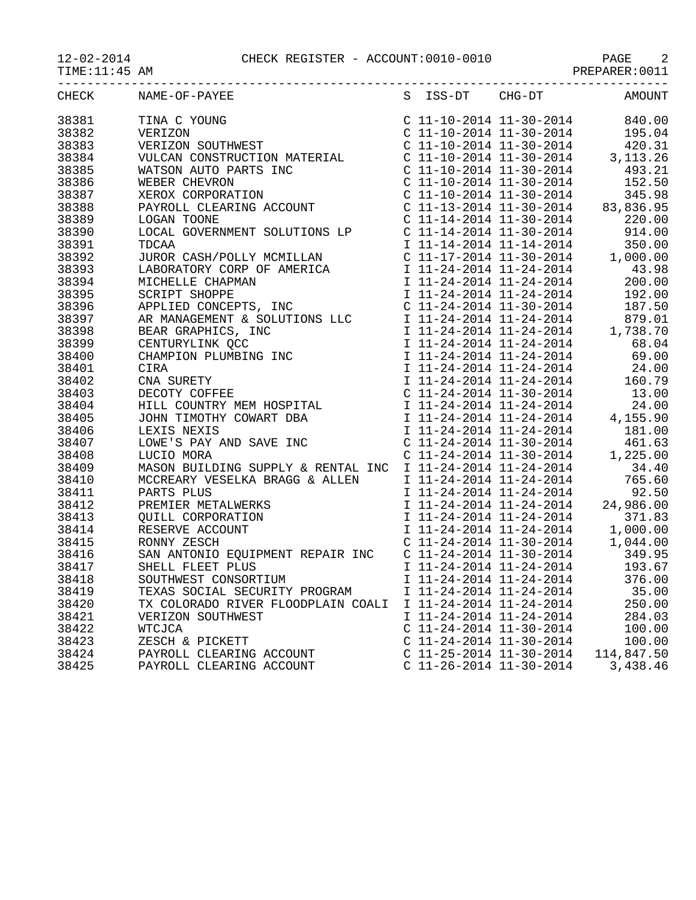| 12-02-2014    | CHECK REGISTER - ACCOUNT:0010-0010 | PAGE           |  |
|---------------|------------------------------------|----------------|--|
| TIME:11:45 AM |                                    | PREPARER: 0011 |  |

| CHECK | NAME-OF-PAYEE                                                                                                                                                                                                                                                                                                                                                        |                         | S ISS-DT CHG-DT           | AMOUNT                                                           |
|-------|----------------------------------------------------------------------------------------------------------------------------------------------------------------------------------------------------------------------------------------------------------------------------------------------------------------------------------------------------------------------|-------------------------|---------------------------|------------------------------------------------------------------|
| 38381 | TINA C YOUNG<br>VERIZON C 11-10-2014 11-30-2014 840.00<br>VERIZON SOUTHWEST C 11-10-2014 11-30-2014 195.04<br>VULCAN CONSTRUCTION MATERIAL C 11-10-2014 11-30-2014 3,113.26<br>C 11-10-2014 11-30-2014 3,113.26<br>C 11-10-2014 11-30-20                                                                                                                             |                         |                           |                                                                  |
| 38382 |                                                                                                                                                                                                                                                                                                                                                                      |                         |                           |                                                                  |
| 38383 |                                                                                                                                                                                                                                                                                                                                                                      |                         |                           |                                                                  |
| 38384 |                                                                                                                                                                                                                                                                                                                                                                      |                         |                           |                                                                  |
| 38385 |                                                                                                                                                                                                                                                                                                                                                                      |                         |                           |                                                                  |
| 38386 |                                                                                                                                                                                                                                                                                                                                                                      |                         |                           |                                                                  |
| 38387 |                                                                                                                                                                                                                                                                                                                                                                      |                         |                           |                                                                  |
| 38388 |                                                                                                                                                                                                                                                                                                                                                                      |                         |                           |                                                                  |
| 38389 |                                                                                                                                                                                                                                                                                                                                                                      |                         |                           |                                                                  |
| 38390 |                                                                                                                                                                                                                                                                                                                                                                      |                         |                           |                                                                  |
| 38391 |                                                                                                                                                                                                                                                                                                                                                                      |                         |                           |                                                                  |
| 38392 |                                                                                                                                                                                                                                                                                                                                                                      |                         |                           |                                                                  |
| 38393 |                                                                                                                                                                                                                                                                                                                                                                      |                         |                           |                                                                  |
| 38394 |                                                                                                                                                                                                                                                                                                                                                                      |                         |                           |                                                                  |
| 38395 |                                                                                                                                                                                                                                                                                                                                                                      |                         |                           |                                                                  |
| 38396 |                                                                                                                                                                                                                                                                                                                                                                      |                         |                           |                                                                  |
| 38397 |                                                                                                                                                                                                                                                                                                                                                                      |                         |                           |                                                                  |
| 38398 |                                                                                                                                                                                                                                                                                                                                                                      |                         |                           |                                                                  |
| 38399 |                                                                                                                                                                                                                                                                                                                                                                      |                         |                           |                                                                  |
| 38400 | $\begin{tabular}{l c c c c} \multicolumn{1}{c}{\textbf{WICIRIN}} & $\mathbb{C}$ & $11-10-2014$ & $11-30-2014$ \\ \multicolumn{1}{c}{\textbf{WISR}} & $\mathbb{C}$ & $11-10-2014$ & $11-30-2014$ \\ \multicolumn{1}{c}{\textbf{WISR}} & $\mathbb{C}$ & $11-10-2014$ & $11-30-2014$ \\ \multicolumn{1}{c}{\textbf{WISR}} & $\mathbb{C}$ & $11-10-2014$ & $11-30-2014$$ |                         |                           |                                                                  |
| 38401 |                                                                                                                                                                                                                                                                                                                                                                      |                         |                           |                                                                  |
| 38402 |                                                                                                                                                                                                                                                                                                                                                                      |                         |                           |                                                                  |
| 38403 |                                                                                                                                                                                                                                                                                                                                                                      |                         |                           |                                                                  |
| 38404 |                                                                                                                                                                                                                                                                                                                                                                      |                         |                           |                                                                  |
| 38405 |                                                                                                                                                                                                                                                                                                                                                                      |                         |                           |                                                                  |
| 38406 |                                                                                                                                                                                                                                                                                                                                                                      |                         |                           |                                                                  |
| 38407 |                                                                                                                                                                                                                                                                                                                                                                      |                         |                           |                                                                  |
| 38408 |                                                                                                                                                                                                                                                                                                                                                                      |                         |                           |                                                                  |
| 38409 |                                                                                                                                                                                                                                                                                                                                                                      |                         |                           |                                                                  |
| 38410 |                                                                                                                                                                                                                                                                                                                                                                      |                         |                           |                                                                  |
| 38411 |                                                                                                                                                                                                                                                                                                                                                                      |                         |                           |                                                                  |
| 38412 |                                                                                                                                                                                                                                                                                                                                                                      |                         |                           |                                                                  |
| 38413 |                                                                                                                                                                                                                                                                                                                                                                      |                         |                           |                                                                  |
| 38414 | PARTS PLUS<br>PARTS PLUS<br>PREMIER METALWERKS<br>QUILL CORPORATION<br>RESERVE ACCOUNT<br>RONNY ZESCH<br>PREMIER ACCOUNT<br>C 11-24-2014 11-24-2014<br>C 11-24-2014 11-30-2014<br>C 11-24-2014 11-30-2014<br>C 11-24-2014 11-30-2014<br>C 11-24-2014                                                                                                                 |                         |                           |                                                                  |
| 38415 |                                                                                                                                                                                                                                                                                                                                                                      |                         |                           |                                                                  |
| 38416 | SAN ANTONIO EQUIPMENT REPAIR INC C 11-24-2014 11-30-2014 349.95                                                                                                                                                                                                                                                                                                      |                         |                           |                                                                  |
| 38417 | SHELL FLEET PLUS                                                                                                                                                                                                                                                                                                                                                     |                         |                           |                                                                  |
| 38418 | SOUTHWEST CONSORTIUM                                                                                                                                                                                                                                                                                                                                                 |                         |                           | I 11-24-2014 11-24-2014 193.67<br>I 11-24-2014 11-24-2014 376.00 |
| 38419 | TEXAS SOCIAL SECURITY PROGRAM                                                                                                                                                                                                                                                                                                                                        | I 11-24-2014 11-24-2014 |                           | 35.00                                                            |
| 38420 | TX COLORADO RIVER FLOODPLAIN COALI                                                                                                                                                                                                                                                                                                                                   |                         | I 11-24-2014 11-24-2014   | 250.00                                                           |
| 38421 | VERIZON SOUTHWEST                                                                                                                                                                                                                                                                                                                                                    |                         | I 11-24-2014 11-24-2014   | 284.03                                                           |
| 38422 | WTCJCA                                                                                                                                                                                                                                                                                                                                                               |                         | $C$ 11-24-2014 11-30-2014 | 100.00                                                           |
| 38423 | ZESCH & PICKETT                                                                                                                                                                                                                                                                                                                                                      |                         | $C$ 11-24-2014 11-30-2014 | 100.00                                                           |
| 38424 | PAYROLL CLEARING ACCOUNT                                                                                                                                                                                                                                                                                                                                             |                         | $C$ 11-25-2014 11-30-2014 | 114,847.50                                                       |
| 38425 | PAYROLL CLEARING ACCOUNT                                                                                                                                                                                                                                                                                                                                             |                         | $C$ 11-26-2014 11-30-2014 | 3,438.46                                                         |
|       |                                                                                                                                                                                                                                                                                                                                                                      |                         |                           |                                                                  |